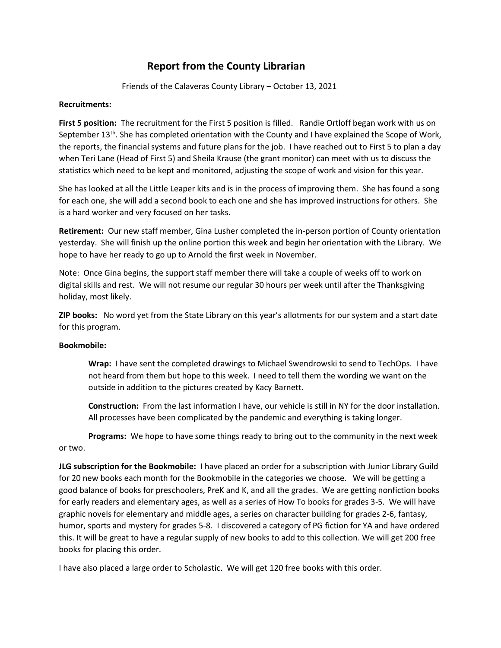## Report from the County Librarian

Friends of the Calaveras County Library – October 13, 2021

## Recruitments:

First 5 position: The recruitment for the First 5 position is filled. Randie Ortloff began work with us on September 13<sup>th</sup>. She has completed orientation with the County and I have explained the Scope of Work, the reports, the financial systems and future plans for the job. I have reached out to First 5 to plan a day when Teri Lane (Head of First 5) and Sheila Krause (the grant monitor) can meet with us to discuss the statistics which need to be kept and monitored, adjusting the scope of work and vision for this year.

She has looked at all the Little Leaper kits and is in the process of improving them. She has found a song for each one, she will add a second book to each one and she has improved instructions for others. She is a hard worker and very focused on her tasks.

Retirement: Our new staff member, Gina Lusher completed the in-person portion of County orientation yesterday. She will finish up the online portion this week and begin her orientation with the Library. We hope to have her ready to go up to Arnold the first week in November.

Note: Once Gina begins, the support staff member there will take a couple of weeks off to work on digital skills and rest. We will not resume our regular 30 hours per week until after the Thanksgiving holiday, most likely.

**ZIP books:** No word yet from the State Library on this year's allotments for our system and a start date for this program.

## Bookmobile:

Wrap: I have sent the completed drawings to Michael Swendrowski to send to TechOps. I have not heard from them but hope to this week. I need to tell them the wording we want on the outside in addition to the pictures created by Kacy Barnett.

Construction: From the last information I have, our vehicle is still in NY for the door installation. All processes have been complicated by the pandemic and everything is taking longer.

Programs: We hope to have some things ready to bring out to the community in the next week or two.

JLG subscription for the Bookmobile: I have placed an order for a subscription with Junior Library Guild for 20 new books each month for the Bookmobile in the categories we choose. We will be getting a good balance of books for preschoolers, PreK and K, and all the grades. We are getting nonfiction books for early readers and elementary ages, as well as a series of How To books for grades 3-5. We will have graphic novels for elementary and middle ages, a series on character building for grades 2-6, fantasy, humor, sports and mystery for grades 5-8. I discovered a category of PG fiction for YA and have ordered this. It will be great to have a regular supply of new books to add to this collection. We will get 200 free books for placing this order.

I have also placed a large order to Scholastic. We will get 120 free books with this order.